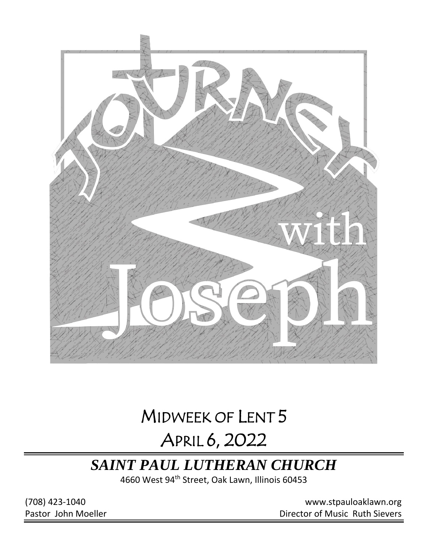

# MIDWEEK OF LENT 5

# APRIL 6, 2022

# *SAINT PAUL LUTHERAN CHURCH*

4660 West 94<sup>th</sup> Street, Oak Lawn, Illinois 60453

(708) 423-1040 [www.stpauloaklawn.org](about:blank) Pastor John Moeller **Director of Music Ruth Sievers**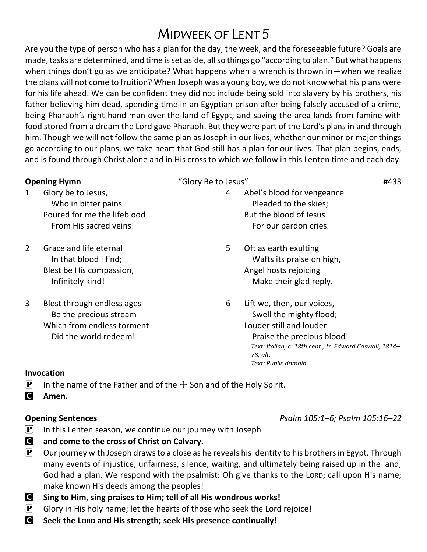## MIDWEEK OF LENT 5

Are you the type of person who has a plan for the day, the week, and the foreseeable future? Goals are made, tasks are determined, and time is set aside, all so things go "according to plan." But what happens when things don't go as we anticipate? What happens when a wrench is thrown in—when we realize the plans will not come to fruition? When Joseph was a young boy, we do not know what his plans were for his life ahead. We can be confident they did not include being sold into slavery by his brothers, his father believing him dead, spending time in an Egyptian prison after being falsely accused of a crime, being Pharaoh's right-hand man over the land of Egypt, and saving the area lands from famine with food stored from a dream the Lord gave Pharaoh. But they were part of the Lord's plans in and through him. Though we will not follow the same plan as Joseph in our lives, whether our minor or major things go according to our plans, we take heart that God still has a plan for our lives. That plan begins, ends, and is found through Christ alone and in His cross to which we follow in this Lenten time and each day.

### **Opening Hymn** #433 1 Glory be to Jesus, Who in bitter pains Poured for me the lifeblood From His sacred veins! 2 Grace and life eternal In that blood I find; Blest be His compassion, Infinitely kind! 3 Blest through endless ages Be the precious stream Which from endless torment Did the world redeem! 4 Abel's blood for vengeance Pleaded to the skies; But the blood of Jesus For our pardon cries. 5 Oft as earth exulting Wafts its praise on high, Angel hosts rejoicing Make their glad reply. 6 Lift we, then, our voices, Swell the mighty flood; Louder still and louder Praise the precious blood!

### *Text: Italian, c. 18th cent.; tr. Edward Caswall, 1814– 78, alt. Text: Public domain*

### **Invocation**

- **P** In the name of the Father and of the  $\pm$  Son and of the Holy Spirit.
- C **Amen.**

### **Opening Sentences** *Psalm 105:1–6; Psalm 105:16–22*

- $\mathbf{P}$  In this Lenten season, we continue our journey with Joseph
- C **and come to the cross of Christ on Calvary.**
- $\boxed{\mathbf{P}}$  Our journey with Joseph draws to a close as he reveals his identity to his brothers in Egypt. Through many events of injustice, unfairness, silence, waiting, and ultimately being raised up in the land, God had a plan. We respond with the psalmist: Oh give thanks to the LORD; call upon His name; make known His deeds among the peoples!
- C **Sing to Him, sing praises to Him; tell of all His wondrous works!**
- **P** Glory in His holy name; let the hearts of those who seek the Lord rejoice!
- C **Seek the LORD and His strength; seek His presence continually!**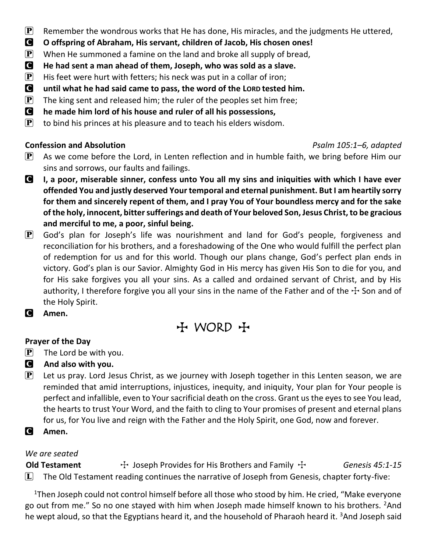- **P** Remember the wondrous works that He has done, His miracles, and the judgments He uttered,
- C **O offspring of Abraham, His servant, children of Jacob, His chosen ones!**
- $\left| \mathbf{P} \right|$  When He summoned a famine on the land and broke all supply of bread,
- C **He had sent a man ahead of them, Joseph, who was sold as a slave.**
- $\left| \mathbf{P} \right|$  His feet were hurt with fetters; his neck was put in a collar of iron;
- C **until what he had said came to pass, the word of the LORD tested him.**
- $\mathbf{P}$  The king sent and released him; the ruler of the peoples set him free;
- C **he made him lord of his house and ruler of all his possessions,**
- $\left| \mathbf{P} \right|$  to bind his princes at his pleasure and to teach his elders wisdom.

### **Confession and Absolution** *Psalm 105:1–6, adapted*

- $\mathbf{P}$  As we come before the Lord, in Lenten reflection and in humble faith, we bring before Him our sins and sorrows, our faults and failings.
- C **I, a poor, miserable sinner, confess unto You all my sins and iniquities with which I have ever offended You and justly deserved Your temporal and eternal punishment. But I am heartily sorry for them and sincerely repent of them, and I pray You of Your boundless mercy and for the sake of the holy, innocent, bitter sufferings and death of Your beloved Son, Jesus Christ, to be gracious and merciful to me, a poor, sinful being.**
- $\mathbf{P}$  God's plan for Joseph's life was nourishment and land for God's people, forgiveness and reconciliation for his brothers, and a foreshadowing of the One who would fulfill the perfect plan of redemption for us and for this world. Though our plans change, God's perfect plan ends in victory. God's plan is our Savior. Almighty God in His mercy has given His Son to die for you, and for His sake forgives you all your sins. As a called and ordained servant of Christ, and by His authority, I therefore forgive you all your sins in the name of the Father and of the  $\pm$  Son and of the Holy Spirit.

C **Amen.**

# $H$  WORD  $H$

### **Prayer of the Day**

- $\left| \mathbf{P} \right|$  The Lord be with you.
- C **And also with you.**
- $\mathbf{P}$  Let us pray. Lord Jesus Christ, as we journey with Joseph together in this Lenten season, we are reminded that amid interruptions, injustices, inequity, and iniquity, Your plan for Your people is perfect and infallible, even to Your sacrificial death on the cross. Grant us the eyes to see You lead, the hearts to trust Your Word, and the faith to cling to Your promises of present and eternal plans for us, for You live and reign with the Father and the Holy Spirit, one God, now and forever.
- C **Amen.**

### *We are seated*

**Old Testament**  $\ddot{\textbf{F}}$  Joseph Provides for His Brothers and Family  $\ddot{\textbf{F}}$  *Genesis 45:1-15*  $\Box$  The Old Testament reading continues the narrative of Joseph from Genesis, chapter forty-five:

<sup>1</sup>Then Joseph could not control himself before all those who stood by him. He cried, "Make everyone go out from me." So no one stayed with him when Joseph made himself known to his brothers.  $2$ And he wept aloud, so that the Egyptians heard it, and the household of Pharaoh heard it. <sup>3</sup>And Joseph said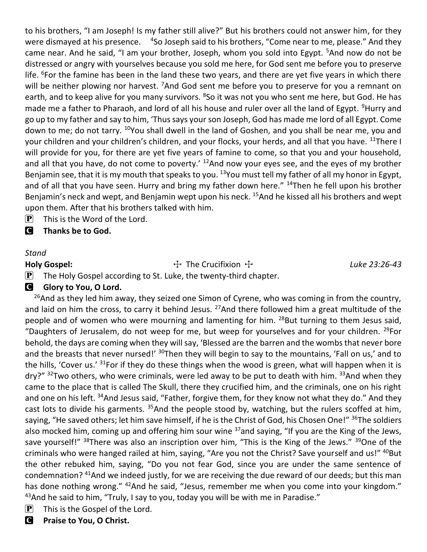to his brothers, "I am Joseph! Is my father still alive?" But his brothers could not answer him, for they were dismayed at his presence. <sup>4</sup>So Joseph said to his brothers, "Come near to me, please." And they came near. And he said, "I am your brother, Joseph, whom you sold into Egypt. <sup>5</sup>And now do not be distressed or angry with yourselves because you sold me here, for God sent me before you to preserve life. <sup>6</sup>For the famine has been in the land these two years, and there are yet five years in which there will be neither plowing nor harvest.  $<sup>7</sup>$  And God sent me before you to preserve for you a remnant on</sup> earth, and to keep alive for you many survivors. <sup>8</sup>So it was not you who sent me here, but God. He has made me a father to Pharaoh, and lord of all his house and ruler over all the land of Egypt. <sup>9</sup>Hurry and go up to my father and say to him, 'Thus says your son Joseph, God has made me lord of all Egypt. Come down to me; do not tarry. <sup>10</sup>You shall dwell in the land of Goshen, and you shall be near me, you and your children and your children's children, and your flocks, your herds, and all that you have. <sup>11</sup>There I will provide for you, for there are yet five years of famine to come, so that you and your household, and all that you have, do not come to poverty.' <sup>12</sup>And now your eyes see, and the eyes of my brother Benjamin see, that it is my mouth that speaks to you. <sup>13</sup>You must tell my father of all my honor in Egypt, and of all that you have seen. Hurry and bring my father down here." <sup>14</sup>Then he fell upon his brother Benjamin's neck and wept, and Benjamin wept upon his neck. <sup>15</sup>And he kissed all his brothers and wept upon them. After that his brothers talked with him.

- $\mathbf{P}$  This is the Word of the Lord.
- C **Thanks be to God.**

### *Stand*

Holy Gospel: **The Crucifixion Ty Example 23:26-43** 

 $\mathbf{P}$  The Holy Gospel according to St. Luke, the twenty-third chapter.

### **G** Glory to You, O Lord.

 $26$ And as they led him away, they seized one Simon of Cyrene, who was coming in from the country, and laid on him the cross, to carry it behind Jesus. <sup>27</sup>And there followed him a great multitude of the people and of women who were mourning and lamenting for him. <sup>28</sup>But turning to them Jesus said, "Daughters of Jerusalem, do not weep for me, but weep for yourselves and for your children. <sup>29</sup>For behold, the days are coming when they will say, 'Blessed are the barren and the wombs that never bore and the breasts that never nursed!' <sup>30</sup>Then they will begin to say to the mountains, 'Fall on us,' and to the hills, 'Cover us.' <sup>31</sup>For if they do these things when the wood is green, what will happen when it is dry?" <sup>32</sup>Two others, who were criminals, were led away to be put to death with him. <sup>33</sup>And when they came to the place that is called The Skull, there they crucified him, and the criminals, one on his right and one on his left. <sup>34</sup>And Jesus said, "Father, forgive them, for they know not what they do." And they cast lots to divide his garments. <sup>35</sup>And the people stood by, watching, but the rulers scoffed at him, saying, "He saved others; let him save himself, if he is the Christ of God, his Chosen One!" <sup>36</sup>The soldiers also mocked him, coming up and offering him sour wine <sup>37</sup>and saying, "If you are the King of the Jews, save yourself!" <sup>38</sup>There was also an inscription over him, "This is the King of the Jews." <sup>39</sup>One of the criminals who were hanged railed at him, saying, "Are you not the Christ? Save yourself and us!" <sup>40</sup>But the other rebuked him, saying, "Do you not fear God, since you are under the same sentence of condemnation? <sup>41</sup>And we indeed justly, for we are receiving the due reward of our deeds; but this man has done nothing wrong." <sup>42</sup>And he said, "Jesus, remember me when you come into your kingdom."  $43$ And he said to him, "Truly, I say to you, today you will be with me in Paradise."

 $\left| \mathbf{P} \right|$  This is the Gospel of the Lord.

C **Praise to You, O Christ.**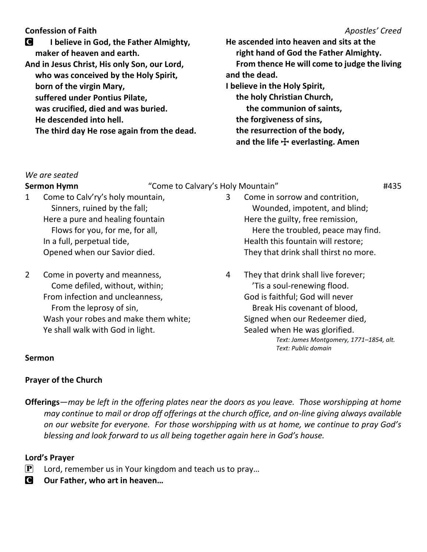### **Confession of Faith** *Apostles' Creed*

- C **I believe in God, the Father Almighty,**
- **maker of heaven and earth. And in Jesus Christ, His only Son, our Lord, who was conceived by the Holy Spirit, born of the virgin Mary, suffered under Pontius Pilate, was crucified, died and was buried. He descended into hell.**
	- **The third day He rose again from the dead.**
- **He ascended into heaven and sits at the right hand of God the Father Almighty. From thence He will come to judge the living and the dead. I believe in the Holy Spirit, the holy Christian Church, the communion of saints, the forgiveness of sins, the resurrection of the body, and the life** T **everlasting. Amen**

### *We are seated*

**Sermon Hymn** "Come to Calvary's Holy Mountain" **#435** 

- 1 Come to Calv'ry's holy mountain, Sinners, ruined by the fall; Here a pure and healing fountain Flows for you, for me, for all, In a full, perpetual tide, Opened when our Savior died.
- 2 Come in poverty and meanness, Come defiled, without, within; From infection and uncleanness, From the leprosy of sin, Wash your robes and make them white; Ye shall walk with God in light.
- 3 Come in sorrow and contrition, Wounded, impotent, and blind; Here the guilty, free remission, Here the troubled, peace may find. Health this fountain will restore; They that drink shall thirst no more.
- 4 They that drink shall live forever; 'Tis a soul-renewing flood. God is faithful; God will never Break His covenant of blood, Signed when our Redeemer died, Sealed when He was glorified. *Text: James Montgomery, 1771–1854, alt. Text: Public domain*

### **Sermon**

### **Prayer of the Church**

**Offerings***—may be left in the offering plates near the doors as you leave. Those worshipping at home may continue to mail or drop off offerings at the church office, and on-line giving always available on our website for everyone. For those worshipping with us at home, we continue to pray God's blessing and look forward to us all being together again here in God's house.*

### **Lord's Prayer**

- **P** Lord, remember us in Your kingdom and teach us to pray...
- C **Our Father, who art in heaven…**